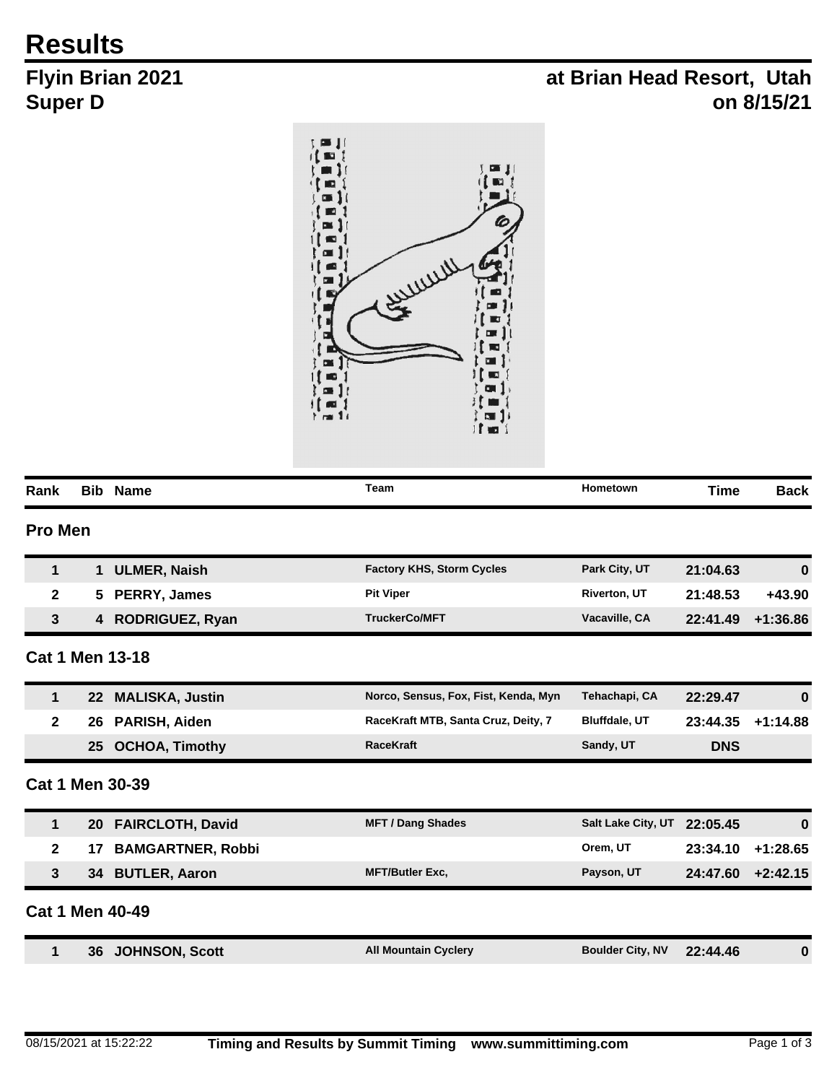## **Results**

## **Flyin Brian 2021 Super D**

## **at Brian Head Resort, Utah on 8/15/21**



| Rank           |                 | <b>Bib Name</b>          | Team                                 | Hometown                | <b>Time</b> | <b>Back</b> |
|----------------|-----------------|--------------------------|--------------------------------------|-------------------------|-------------|-------------|
| <b>Pro Men</b> |                 |                          |                                      |                         |             |             |
| $\mathbf{1}$   | $\mathbf 1$     | <b>ULMER, Naish</b>      | <b>Factory KHS, Storm Cycles</b>     | Park City, UT           | 21:04.63    | 0           |
| $\mathbf{2}$   | 5.              | PERRY, James             | <b>Pit Viper</b>                     | <b>Riverton, UT</b>     | 21:48.53    | $+43.90$    |
| 3              |                 | 4 RODRIGUEZ, Ryan        | <b>TruckerCo/MFT</b>                 | Vacaville, CA           | 22:41.49    | $+1:36.86$  |
|                |                 | <b>Cat 1 Men 13-18</b>   |                                      |                         |             |             |
| $\mathbf{1}$   | <b>22</b>       | <b>MALISKA, Justin</b>   | Norco, Sensus, Fox, Fist, Kenda, Myn | Tehachapi, CA           | 22:29.47    | 0           |
| $\mathbf{2}$   | 26              | PARISH, Aiden            | RaceKraft MTB, Santa Cruz, Deity, 7  | <b>Bluffdale, UT</b>    | 23:44.35    | $+1:14.88$  |
|                | 25              | <b>OCHOA, Timothy</b>    | <b>RaceKraft</b>                     | Sandy, UT               | <b>DNS</b>  |             |
|                |                 | <b>Cat 1 Men 30-39</b>   |                                      |                         |             |             |
| 1              | 20 <sub>1</sub> | <b>FAIRCLOTH, David</b>  | <b>MFT / Dang Shades</b>             | Salt Lake City, UT      | 22:05.45    | 0           |
| $\mathbf{2}$   | 17              | <b>BAMGARTNER, Robbi</b> |                                      | Orem, UT                | 23:34.10    | $+1:28.65$  |
| 3              | 34              | <b>BUTLER, Aaron</b>     | <b>MFT/Butler Exc,</b>               | Payson, UT              | 24:47.60    | $+2:42.15$  |
|                |                 | <b>Cat 1 Men 40-49</b>   |                                      |                         |             |             |
| $\mathbf{1}$   | 36              | <b>JOHNSON, Scott</b>    | <b>All Mountain Cyclery</b>          | <b>Boulder City, NV</b> | 22:44.46    | $\bf{0}$    |
|                |                 |                          |                                      |                         |             |             |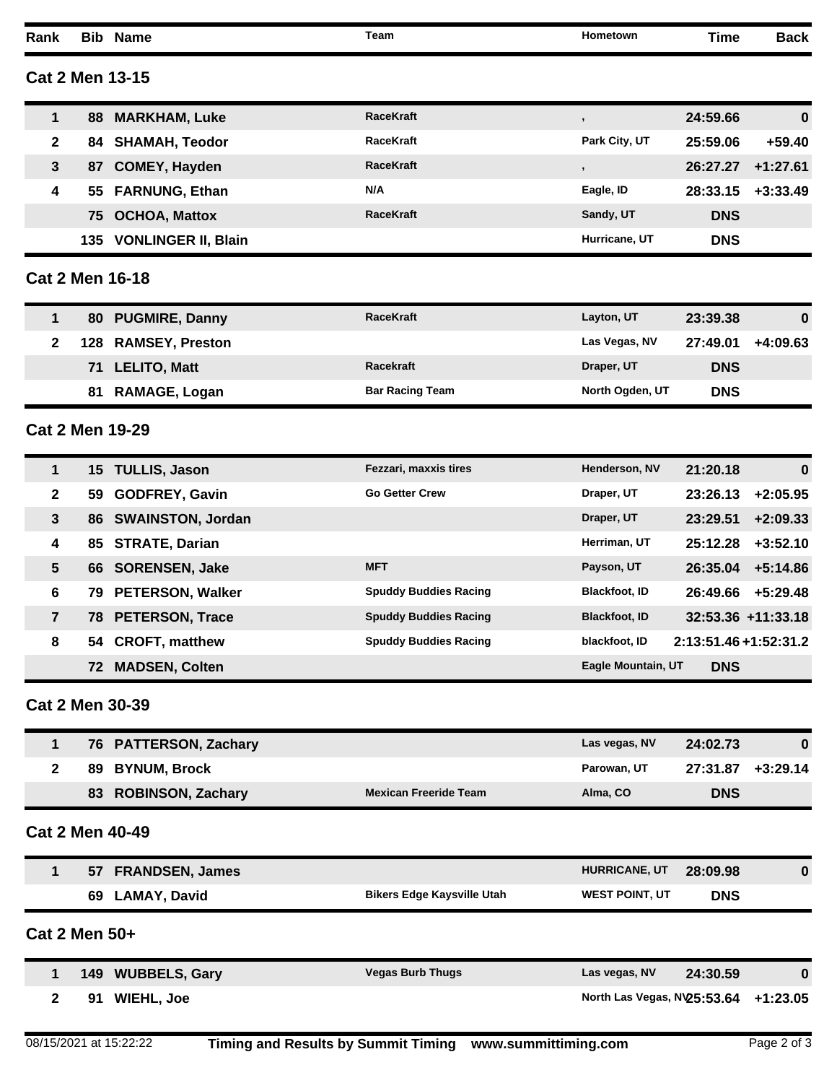| Rank           |               | <b>Bib Name</b>            | Team                              | Hometown                    | <b>Time</b>          | <b>Back</b>        |
|----------------|---------------|----------------------------|-----------------------------------|-----------------------------|----------------------|--------------------|
|                |               | <b>Cat 2 Men 13-15</b>     |                                   |                             |                      |                    |
| 1              | 88            | <b>MARKHAM, Luke</b>       | <b>RaceKraft</b>                  | $\,$                        | 24:59.66             | $\boldsymbol{0}$   |
| $\mathbf{2}$   | 84            | <b>SHAMAH, Teodor</b>      | <b>RaceKraft</b>                  | Park City, UT               | 25:59.06             | $+59.40$           |
| $\mathbf{3}$   | 87            | <b>COMEY, Hayden</b>       | <b>RaceKraft</b>                  | $\,$                        | 26:27.27             | $+1:27.61$         |
| 4              | 55            | <b>FARNUNG, Ethan</b>      | N/A                               | Eagle, ID                   | 28:33.15             | $+3:33.49$         |
|                | 75            | <b>OCHOA, Mattox</b>       | <b>RaceKraft</b>                  | Sandy, UT                   | <b>DNS</b>           |                    |
|                | 135           | <b>VONLINGER II, Blain</b> |                                   | Hurricane, UT               | <b>DNS</b>           |                    |
|                |               | <b>Cat 2 Men 16-18</b>     |                                   |                             |                      |                    |
| 1              |               | 80 PUGMIRE, Danny          | <b>RaceKraft</b>                  | Layton, UT                  | 23:39.38             | $\bf{0}$           |
| $\mathbf{2}$   | 128           | <b>RAMSEY, Preston</b>     |                                   | Las Vegas, NV               | 27:49.01             | $+4:09.63$         |
|                | 71            | <b>LELITO, Matt</b>        | Racekraft                         | Draper, UT                  | <b>DNS</b>           |                    |
|                | 81            | <b>RAMAGE, Logan</b>       | <b>Bar Racing Team</b>            | North Ogden, UT             | <b>DNS</b>           |                    |
|                |               | <b>Cat 2 Men 19-29</b>     |                                   |                             |                      |                    |
| 1              |               | 15 TULLIS, Jason           | Fezzari, maxxis tires             | Henderson, NV               | 21:20.18             | $\bf{0}$           |
| $\mathbf 2$    | 59            | <b>GODFREY, Gavin</b>      | <b>Go Getter Crew</b>             | Draper, UT                  | 23:26.13             | $+2:05.95$         |
| $\mathbf{3}$   | 86            | <b>SWAINSTON, Jordan</b>   |                                   | Draper, UT                  | 23:29.51             | $+2:09.33$         |
| 4              | 85            | <b>STRATE, Darian</b>      |                                   | Herriman, UT                | 25:12.28             | $+3:52.10$         |
| 5              | 66.           | <b>SORENSEN, Jake</b>      | <b>MFT</b>                        | Payson, UT                  | 26:35.04             | $+5:14.86$         |
| 6              | 79            | <b>PETERSON, Walker</b>    | <b>Spuddy Buddies Racing</b>      | <b>Blackfoot, ID</b>        | 26:49.66             | $+5:29.48$         |
| $\overline{7}$ | 78.           | <b>PETERSON, Trace</b>     | <b>Spuddy Buddies Racing</b>      | <b>Blackfoot, ID</b>        |                      | 32:53.36 +11:33.18 |
| 8              |               | 54 CROFT, matthew          | <b>Spuddy Buddies Racing</b>      | blackfoot, ID               | 2:13:51.46+1:52:31.2 |                    |
|                | 72.           | <b>MADSEN, Colten</b>      |                                   | Eagle Mountain, UT          | <b>DNS</b>           |                    |
|                |               | <b>Cat 2 Men 30-39</b>     |                                   |                             |                      |                    |
| 1              |               | 76 PATTERSON, Zachary      |                                   | Las vegas, NV               | 24:02.73             | $\bf{0}$           |
| $\mathbf{2}$   | 89            | <b>BYNUM, Brock</b>        |                                   | Parowan, UT                 | 27:31.87             | $+3:29.14$         |
|                | 83            | <b>ROBINSON, Zachary</b>   | <b>Mexican Freeride Team</b>      | Alma, CO                    | <b>DNS</b>           |                    |
|                |               | <b>Cat 2 Men 40-49</b>     |                                   |                             |                      |                    |
| 1              |               | 57 FRANDSEN, James         |                                   | HURRICANE, UT               | 28:09.98             | 0                  |
|                |               | 69 LAMAY, David            | <b>Bikers Edge Kaysville Utah</b> | <b>WEST POINT, UT</b>       | <b>DNS</b>           |                    |
|                | Cat 2 Men 50+ |                            |                                   |                             |                      |                    |
| 1              |               | 149 WUBBELS, Gary          | <b>Vegas Burb Thugs</b>           | Las vegas, NV               | 24:30.59             | $\bf{0}$           |
| $\mathbf{2}$   |               | 91 WIEHL, Joe              |                                   | North Las Vegas, NV25:53.64 |                      | $+1:23.05$         |
|                |               |                            |                                   |                             |                      |                    |